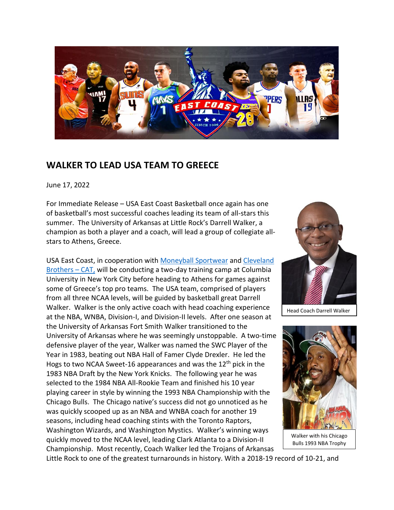

## **WALKER TO LEAD USA TEAM TO GREECE**

June 17, 2022

For Immediate Release – USA East Coast Basketball once again has one of basketball's most successful coaches leading its team of all-stars this summer. The University of Arkansas at Little Rock's Darrell Walker, a champion as both a player and a coach, will lead a group of collegiate allstars to Athens, Greece.

USA East Coast, in cooperation with [Moneyball Sportwear](https://moneyballsportswear.com/) and [Cleveland](https://www.clevelandbrothers.com/)  [Brothers](https://www.clevelandbrothers.com/) – CAT, will be conducting a two-day training camp at Columbia University in New York City before heading to Athens for games against some of Greece's top pro teams. The USA team, comprised of players from all three NCAA levels, will be guided by basketball great Darrell Walker. Walker is the only active coach with head coaching experience at the NBA, WNBA, Division-I, and Division-II levels. After one season at the University of Arkansas Fort Smith Walker transitioned to the University of Arkansas where he was seemingly unstoppable. A two-time defensive player of the year, Walker was named the SWC Player of the Year in 1983, beating out NBA Hall of Famer Clyde Drexler. He led the Hogs to two NCAA Sweet-16 appearances and was the  $12<sup>th</sup>$  pick in the 1983 NBA Draft by the New York Knicks. The following year he was selected to the 1984 NBA All-Rookie Team and finished his 10 year playing career in style by winning the 1993 NBA Championship with the Chicago Bulls. The Chicago native's success did not go unnoticed as he was quickly scooped up as an NBA and WNBA coach for another 19 seasons, including head coaching stints with the Toronto Raptors, Washington Wizards, and Washington Mystics. Walker's winning ways quickly moved to the NCAA level, leading Clark Atlanta to a Division-II Championship. Most recently, Coach Walker led the Trojans of Arkansas



Head Coach Darrell Walker



Little Rock to one of the greatest turnarounds in history. With a 2018-19 record of 10-21, and